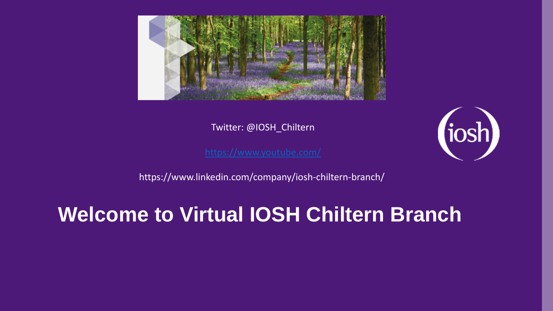

Twitter: @IOSH\_Chiltern

https://www.youtube.com/



https://www.linkedin.com/company/iosh-chiltern-branch/

# **Welcome to Virtual IOSH Chiltern Branch**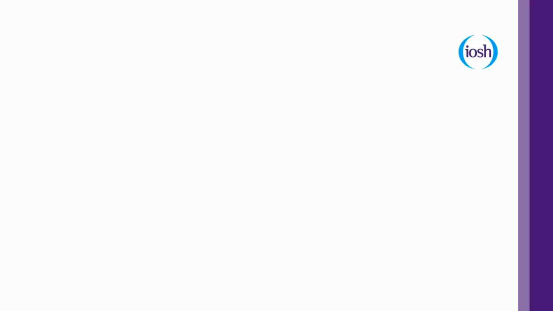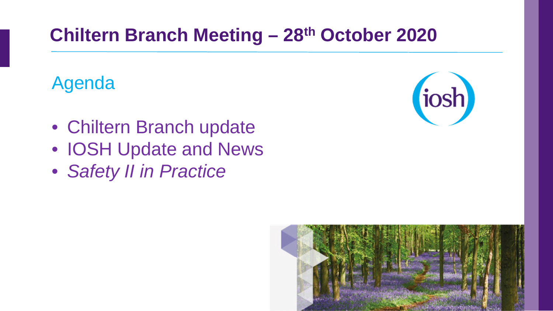### **Chiltern Branch Meeting – 28th October 2020**

## Agenda

- Chiltern Branch update
- IOSH Update and News
- *Safety II in Practice*



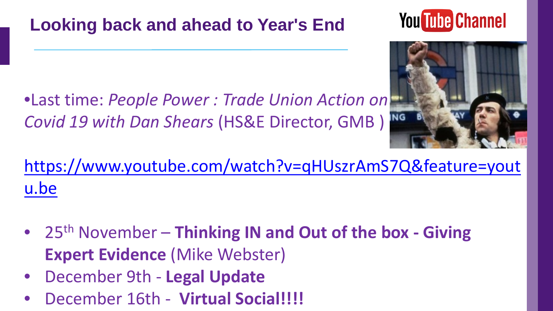## **Looking back and ahead to Year's End**

**You Tube Channel** 



https://www.youtube.com/watch?v=qHUszrAmS7Q&feature=yout u.be

- 25th November **Thinking IN and Out of the box Giving Expert Evidence** (Mike Webster)
- December 9th **Legal Update**
- December 16th **Virtual Social!!!!**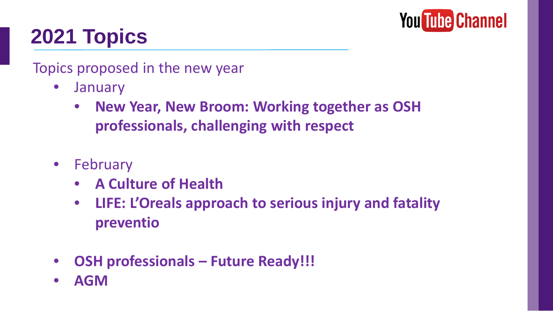

# **2021 Topics**

Topics proposed in the new year

- January
	- **New Year, New Broom: Working together as OSH professionals, challenging with respect**
- February
	- **A Culture of Health**
	- **LIFE: L'Oreals approach to serious injury and fatality preventio**
- **OSH professionals Future Ready!!!**
- **AGM**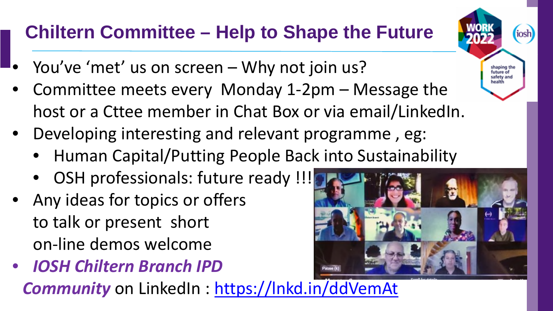# **Chiltern Committee – Help to Shape the Future**

- You've 'met' us on screen Why not join us?
- Committee meets every Monday 1-2pm Message the host or a Cttee member in Chat Box or via email/LinkedIn.
- Developing interesting and relevant programme , eg:
	- Human Capital/Putting People Back into Sustainability
	- OSH professionals: future ready !!!
- Any ideas for topics or offers to talk or present short on-line demos welcome
- *IOSH Chiltern Branch IPD Community* on LinkedIn : https://lnkd.in/ddVemAt



iosi

future of afety and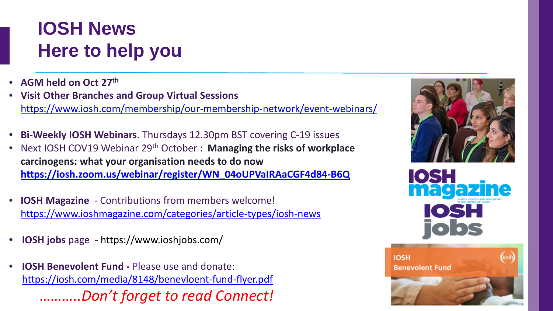# **IOSH News Here to help you**

- **AGM held on Oct 27th**
- **Visit Other Branches and Group Virtual Sessions**  https://www.iosh.com/membership/our-membership-network/event-webinars/
- **Bi-Weekly IOSH Webinars**. Thursdays 12.30pm BST covering C-19 issues
- Next IOSH COV19 Webinar 29th October : **Managing the risks of workplace carcinogens: what your organisation needs to do now https://iosh.zoom.us/webinar/register/WN\_04oUPVaIRAaCGF4d84-B6Q**
- **IOSH Magazine**  Contributions from members welcome! https://www.ioshmagazine.com/categories/article-types/iosh-news
- **IOSH jobs** page https://www.ioshjobs.com/
- **IOSH Benevolent Fund -** Please use and donate: https://iosh.com/media/8148/benevloent-fund-flyer.pdf *………..Don't forget to read Connect!*





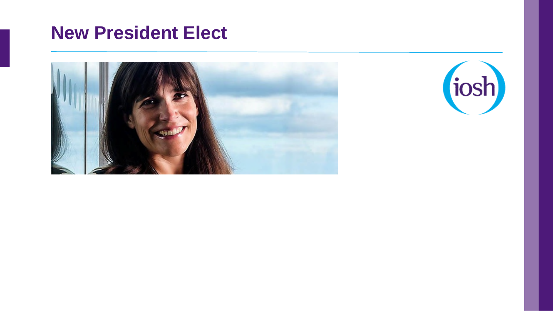#### **New President Elect**